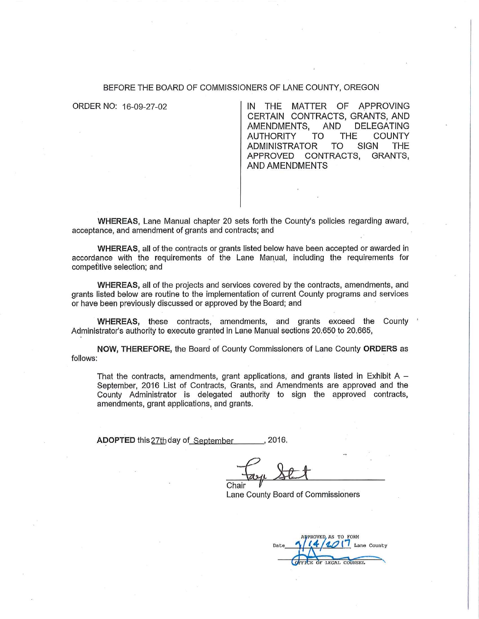#### BEFORE THE BOARD OF COMMISSIONERS OF LANE COUNTY, OREGON

ORDER NO: 16-09-27-02

**THE** MATTER OF APPROVING IN CERTAIN CONTRACTS, GRANTS, AND AMENDMENTS, AND **DELEGATING AUTHORITY TO THE COUNTY ADMINISTRATOR** TO SIGN **THE** APPROVED CONTRACTS. GRANTS, **AND AMENDMENTS** 

WHEREAS, Lane Manual chapter 20 sets forth the County's policies regarding award, acceptance, and amendment of grants and contracts; and

WHEREAS, all of the contracts or grants listed below have been accepted or awarded in accordance with the requirements of the Lane Manual, including the requirements for competitive selection; and

WHEREAS, all of the projects and services covered by the contracts, amendments, and grants listed below are routine to the implementation of current County programs and services or have been previously discussed or approved by the Board; and

WHEREAS, these contracts, amendments, and grants exceed the County Administrator's authority to execute granted in Lane Manual sections 20.650 to 20.665,

NOW, THEREFORE, the Board of County Commissioners of Lane County ORDERS as follows:

That the contracts, amendments, grant applications, and grants listed in Exhibit A  $-$ September, 2016 List of Contracts, Grants, and Amendments are approved and the County Administrator is delegated authority to sign the approved contracts, amendments, grant applications, and grants.

ADOPTED this 27th day of September  $.2016.$ 

Chair Lane County Board of Commissioners

PROVED AS TO FORM Lane County TCE OF LEGAL COUNSEL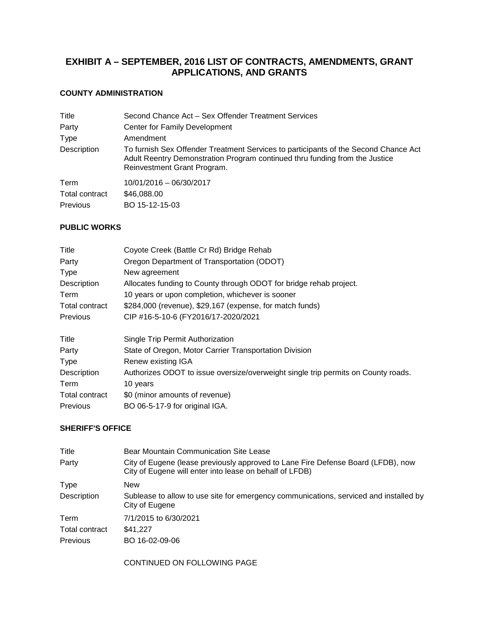# **EXHIBIT A – SEPTEMBER, 2016 LIST OF CONTRACTS, AMENDMENTS, GRANT APPLICATIONS, AND GRANTS**

## **COUNTY ADMINISTRATION**

| Title           | Second Chance Act - Sex Offender Treatment Services                                                                                                                                               |
|-----------------|---------------------------------------------------------------------------------------------------------------------------------------------------------------------------------------------------|
| Party           | Center for Family Development                                                                                                                                                                     |
| Type            | Amendment                                                                                                                                                                                         |
| Description     | To furnish Sex Offender Treatment Services to participants of the Second Chance Act<br>Adult Reentry Demonstration Program continued thru funding from the Justice<br>Reinvestment Grant Program. |
| Term            | 10/01/2016 - 06/30/2017                                                                                                                                                                           |
| Total contract  | \$46,088.00                                                                                                                                                                                       |
| <b>Previous</b> | BO 15-12-15-03                                                                                                                                                                                    |

## **PUBLIC WORKS**

| Title           | Coyote Creek (Battle Cr Rd) Bridge Rehab                                          |
|-----------------|-----------------------------------------------------------------------------------|
| Party           | Oregon Department of Transportation (ODOT)                                        |
| <b>Type</b>     | New agreement                                                                     |
| Description     | Allocates funding to County through ODOT for bridge rehab project.                |
| Term            | 10 years or upon completion, whichever is sooner                                  |
| Total contract  | \$284,000 (revenue), \$29,167 (expense, for match funds)                          |
| Previous        | CIP #16-5-10-6 (FY2016/17-2020/2021                                               |
| Title           | Single Trip Permit Authorization                                                  |
| Party           | State of Oregon, Motor Carrier Transportation Division                            |
| <b>Type</b>     | Renew existing IGA                                                                |
| Description     | Authorizes ODOT to issue oversize/overweight single trip permits on County roads. |
| Term            | 10 years                                                                          |
| Total contract  | \$0 (minor amounts of revenue)                                                    |
| <b>Previous</b> | BO 06-5-17-9 for original IGA.                                                    |

### **SHERIFF'S OFFICE**

| Title          | Bear Mountain Communication Site Lease                                                                                                      |
|----------------|---------------------------------------------------------------------------------------------------------------------------------------------|
| Party          | City of Eugene (lease previously approved to Lane Fire Defense Board (LFDB), now<br>City of Eugene will enter into lease on behalf of LFDB) |
| <b>Type</b>    | <b>New</b>                                                                                                                                  |
| Description    | Sublease to allow to use site for emergency communications, serviced and installed by<br>City of Eugene                                     |
| Term           | 7/1/2015 to 6/30/2021                                                                                                                       |
| Total contract | \$41.227                                                                                                                                    |
| Previous       | BO 16-02-09-06                                                                                                                              |
|                | CONTINUED ON FOLLOWING PAGE                                                                                                                 |